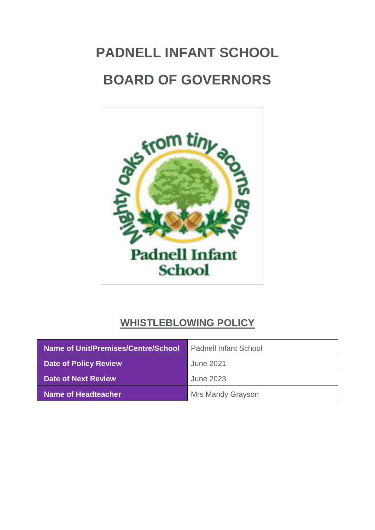# **PADNELL INFANT SCHOOL BOARD OF GOVERNORS**



# **WHISTLEBLOWING POLICY**

| Name of Unit/Premises/Centre/School | <b>Padnell Infant School</b> |
|-------------------------------------|------------------------------|
| <b>Date of Policy Review</b>        | June 2021                    |
| Date of Next Review                 | <b>June 2023</b>             |
| Name of Headteacher                 | <b>Mrs Mandy Grayson</b>     |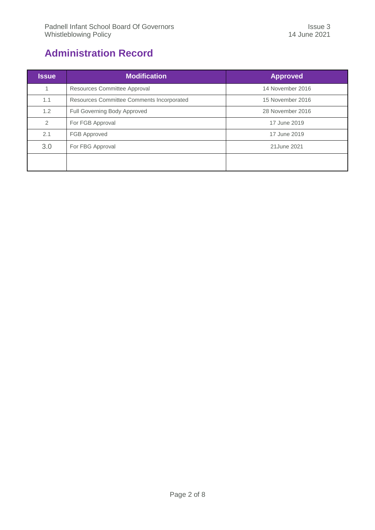# <span id="page-1-0"></span>**Administration Record**

| <b>Issue</b>   | <b>Modification</b>                       | <b>Approved</b>  |
|----------------|-------------------------------------------|------------------|
| 1              | Resources Committee Approval              | 14 November 2016 |
| 1.1            | Resources Committee Comments Incorporated | 15 November 2016 |
| 1.2            | Full Governing Body Approved              | 28 November 2016 |
| $\overline{2}$ | For FGB Approval                          | 17 June 2019     |
| 2.1            | FGB Approved                              | 17 June 2019     |
| 3.0            | For FBG Approval                          | 21 June 2021     |
|                |                                           |                  |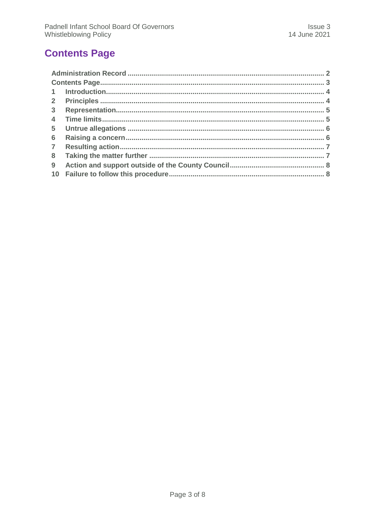# <span id="page-2-0"></span>**Contents Page**

| 3 <sup>1</sup> |  |
|----------------|--|
| $\overline{4}$ |  |
| 5 <sup>5</sup> |  |
| 6              |  |
| $\overline{7}$ |  |
| 8              |  |
| 9              |  |
|                |  |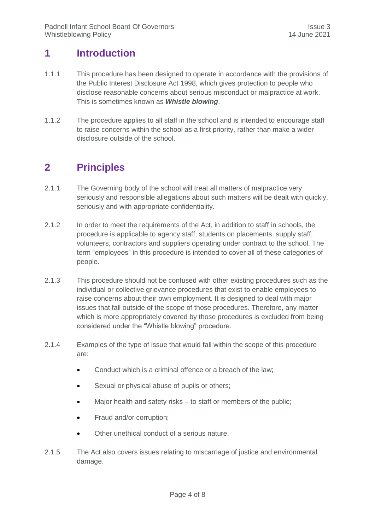#### <span id="page-3-0"></span>**1 Introduction**

- 1.1.1 This procedure has been designed to operate in accordance with the provisions of the Public Interest Disclosure Act 1998, which gives protection to people who disclose reasonable concerns about serious misconduct or malpractice at work. This is sometimes known as *Whistle blowing*.
- 1.1.2 The procedure applies to all staff in the school and is intended to encourage staff to raise concerns within the school as a first priority, rather than make a wider disclosure outside of the school.

## <span id="page-3-1"></span>**2 Principles**

- 2.1.1 The Governing body of the school will treat all matters of malpractice very seriously and responsible allegations about such matters will be dealt with quickly, seriously and with appropriate confidentiality.
- 2.1.2 In order to meet the requirements of the Act, in addition to staff in schools, the procedure is applicable to agency staff, students on placements, supply staff, volunteers, contractors and suppliers operating under contract to the school. The term "employees" in this procedure is intended to cover all of these categories of people.
- 2.1.3 This procedure should not be confused with other existing procedures such as the individual or collective grievance procedures that exist to enable employees to raise concerns about their own employment. It is designed to deal with major issues that fall outside of the scope of those procedures. Therefore, any matter which is more appropriately covered by those procedures is excluded from being considered under the "Whistle blowing" procedure.
- 2.1.4 Examples of the type of issue that would fall within the scope of this procedure are:
	- Conduct which is a criminal offence or a breach of the law;
	- Sexual or physical abuse of pupils or others:
	- Major health and safety risks to staff or members of the public;
	- Fraud and/or corruption;
	- Other unethical conduct of a serious nature.
- 2.1.5 The Act also covers issues relating to miscarriage of justice and environmental damage.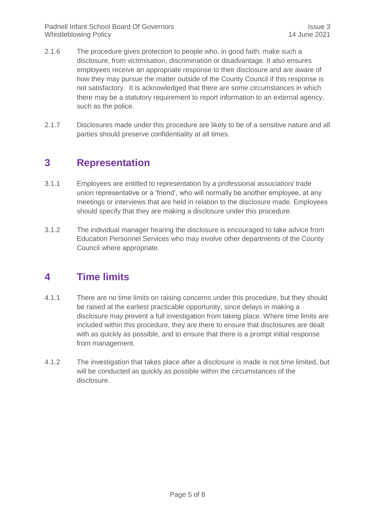- 2.1.6 The procedure gives protection to people who, in good faith, make such a disclosure, from victimisation, discrimination or disadvantage. It also ensures employees receive an appropriate response to their disclosure and are aware of how they may pursue the matter outside of the County Council if this response is not satisfactory. It is acknowledged that there are some circumstances in which there may be a statutory requirement to report information to an external agency, such as the police.
- 2.1.7 Disclosures made under this procedure are likely to be of a sensitive nature and all parties should preserve confidentiality at all times.

#### <span id="page-4-0"></span>**3 Representation**

- 3.1.1 Employees are entitled to representation by a professional association/ trade union representative or a 'friend', who will normally be another employee, at any meetings or interviews that are held in relation to the disclosure made. Employees should specify that they are making a disclosure under this procedure.
- 3.1.2 The individual manager hearing the disclosure is encouraged to take advice from Education Personnel Services who may involve other departments of the County Council where appropriate.

## <span id="page-4-1"></span>**4 Time limits**

- 4.1.1 There are no time limits on raising concerns under this procedure, but they should be raised at the earliest practicable opportunity, since delays in making a disclosure may prevent a full investigation from taking place. Where time limits are included within this procedure, they are there to ensure that disclosures are dealt with as quickly as possible, and to ensure that there is a prompt initial response from management.
- 4.1.2 The investigation that takes place after a disclosure is made is not time limited, but will be conducted as quickly as possible within the circumstances of the disclosure.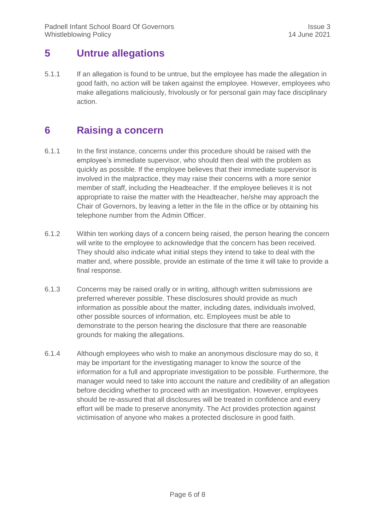#### <span id="page-5-0"></span>**5 Untrue allegations**

5.1.1 If an allegation is found to be untrue, but the employee has made the allegation in good faith, no action will be taken against the employee. However, employees who make allegations maliciously, frivolously or for personal gain may face disciplinary action.

## <span id="page-5-1"></span>**6 Raising a concern**

- 6.1.1 In the first instance, concerns under this procedure should be raised with the employee's immediate supervisor, who should then deal with the problem as quickly as possible. If the employee believes that their immediate supervisor is involved in the malpractice, they may raise their concerns with a more senior member of staff, including the Headteacher. If the employee believes it is not appropriate to raise the matter with the Headteacher, he/she may approach the Chair of Governors, by leaving a letter in the file in the office or by obtaining his telephone number from the Admin Officer.
- 6.1.2 Within ten working days of a concern being raised, the person hearing the concern will write to the employee to acknowledge that the concern has been received. They should also indicate what initial steps they intend to take to deal with the matter and, where possible, provide an estimate of the time it will take to provide a final response.
- 6.1.3 Concerns may be raised orally or in writing, although written submissions are preferred wherever possible. These disclosures should provide as much information as possible about the matter, including dates, individuals involved, other possible sources of information, etc. Employees must be able to demonstrate to the person hearing the disclosure that there are reasonable grounds for making the allegations.
- 6.1.4 Although employees who wish to make an anonymous disclosure may do so, it may be important for the investigating manager to know the source of the information for a full and appropriate investigation to be possible. Furthermore, the manager would need to take into account the nature and credibility of an allegation before deciding whether to proceed with an investigation. However, employees should be re-assured that all disclosures will be treated in confidence and every effort will be made to preserve anonymity. The Act provides protection against victimisation of anyone who makes a protected disclosure in good faith.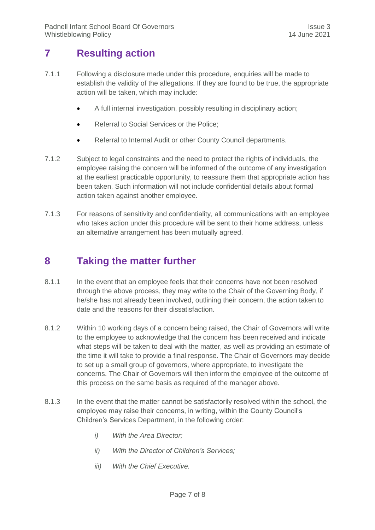## <span id="page-6-0"></span>**7 Resulting action**

- 7.1.1 Following a disclosure made under this procedure, enquiries will be made to establish the validity of the allegations. If they are found to be true, the appropriate action will be taken, which may include:
	- A full internal investigation, possibly resulting in disciplinary action;
	- Referral to Social Services or the Police;
	- Referral to Internal Audit or other County Council departments.
- 7.1.2 Subject to legal constraints and the need to protect the rights of individuals, the employee raising the concern will be informed of the outcome of any investigation at the earliest practicable opportunity, to reassure them that appropriate action has been taken. Such information will not include confidential details about formal action taken against another employee.
- 7.1.3 For reasons of sensitivity and confidentiality, all communications with an employee who takes action under this procedure will be sent to their home address, unless an alternative arrangement has been mutually agreed.

#### <span id="page-6-1"></span>**8 Taking the matter further**

- 8.1.1 In the event that an employee feels that their concerns have not been resolved through the above process, they may write to the Chair of the Governing Body, if he/she has not already been involved, outlining their concern, the action taken to date and the reasons for their dissatisfaction.
- 8.1.2 Within 10 working days of a concern being raised, the Chair of Governors will write to the employee to acknowledge that the concern has been received and indicate what steps will be taken to deal with the matter, as well as providing an estimate of the time it will take to provide a final response. The Chair of Governors may decide to set up a small group of governors, where appropriate, to investigate the concerns. The Chair of Governors will then inform the employee of the outcome of this process on the same basis as required of the manager above.
- 8.1.3 In the event that the matter cannot be satisfactorily resolved within the school, the employee may raise their concerns, in writing, within the County Council's Children's Services Department, in the following order:
	- *i) With the Area Director;*
	- *ii) With the Director of Children's Services;*
	- *iii) With the Chief Executive.*